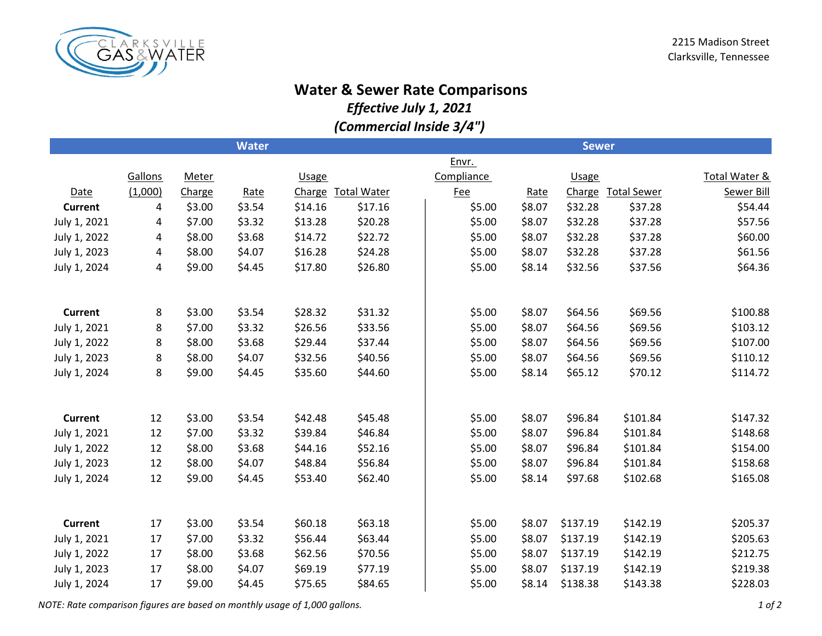

## **Water & Sewer Rate Comparisons**

*Effective July 1, 2021*

*(Commercial Inside 3/4")*

|                |         |              | <b>Water</b> |              |                    | <b>Sewer</b> |        |              |                    |                          |  |
|----------------|---------|--------------|--------------|--------------|--------------------|--------------|--------|--------------|--------------------|--------------------------|--|
|                |         |              |              |              |                    | Envr.        |        |              |                    |                          |  |
|                | Gallons | <b>Meter</b> |              | <b>Usage</b> |                    | Compliance   |        | <b>Usage</b> |                    | <b>Total Water &amp;</b> |  |
| Date           | (1,000) | Charge       | Rate         | Charge       | <b>Total Water</b> | <b>Fee</b>   | Rate   | Charge       | <b>Total Sewer</b> | <b>Sewer Bill</b>        |  |
| <b>Current</b> | 4       | \$3.00       | \$3.54       | \$14.16      | \$17.16            | \$5.00       | \$8.07 | \$32.28      | \$37.28            | \$54.44                  |  |
| July 1, 2021   | 4       | \$7.00       | \$3.32       | \$13.28      | \$20.28            | \$5.00       | \$8.07 | \$32.28      | \$37.28            | \$57.56                  |  |
| July 1, 2022   | 4       | \$8.00       | \$3.68       | \$14.72      | \$22.72            | \$5.00       | \$8.07 | \$32.28      | \$37.28            | \$60.00                  |  |
| July 1, 2023   | 4       | \$8.00       | \$4.07       | \$16.28      | \$24.28            | \$5.00       | \$8.07 | \$32.28      | \$37.28            | \$61.56                  |  |
| July 1, 2024   | 4       | \$9.00       | \$4.45       | \$17.80      | \$26.80            | \$5.00       | \$8.14 | \$32.56      | \$37.56            | \$64.36                  |  |
|                |         |              |              |              |                    |              |        |              |                    |                          |  |
|                |         |              |              |              |                    |              |        |              |                    |                          |  |
| <b>Current</b> | 8       | \$3.00       | \$3.54       | \$28.32      | \$31.32            | \$5.00       | \$8.07 | \$64.56      | \$69.56            | \$100.88                 |  |
| July 1, 2021   | 8       | \$7.00       | \$3.32       | \$26.56      | \$33.56            | \$5.00       | \$8.07 | \$64.56      | \$69.56            | \$103.12                 |  |
| July 1, 2022   | 8       | \$8.00       | \$3.68       | \$29.44      | \$37.44            | \$5.00       | \$8.07 | \$64.56      | \$69.56            | \$107.00                 |  |
| July 1, 2023   | 8       | \$8.00       | \$4.07       | \$32.56      | \$40.56            | \$5.00       | \$8.07 | \$64.56      | \$69.56            | \$110.12                 |  |
| July 1, 2024   | 8       | \$9.00       | \$4.45       | \$35.60      | \$44.60            | \$5.00       | \$8.14 | \$65.12      | \$70.12            | \$114.72                 |  |
|                |         |              |              |              |                    |              |        |              |                    |                          |  |
|                |         |              |              |              |                    |              |        |              |                    |                          |  |
| <b>Current</b> | 12      | \$3.00       | \$3.54       | \$42.48      | \$45.48            | \$5.00       | \$8.07 | \$96.84      | \$101.84           | \$147.32                 |  |
| July 1, 2021   | 12      | \$7.00       | \$3.32       | \$39.84      | \$46.84            | \$5.00       | \$8.07 | \$96.84      | \$101.84           | \$148.68                 |  |
| July 1, 2022   | 12      | \$8.00       | \$3.68       | \$44.16      | \$52.16            | \$5.00       | \$8.07 | \$96.84      | \$101.84           | \$154.00                 |  |
| July 1, 2023   | 12      | \$8.00       | \$4.07       | \$48.84      | \$56.84            | \$5.00       | \$8.07 | \$96.84      | \$101.84           | \$158.68                 |  |
| July 1, 2024   | 12      | \$9.00       | \$4.45       | \$53.40      | \$62.40            | \$5.00       | \$8.14 | \$97.68      | \$102.68           | \$165.08                 |  |
|                |         |              |              |              |                    |              |        |              |                    |                          |  |
| <b>Current</b> | 17      | \$3.00       | \$3.54       | \$60.18      | \$63.18            | \$5.00       | \$8.07 | \$137.19     | \$142.19           | \$205.37                 |  |
| July 1, 2021   | 17      | \$7.00       | \$3.32       | \$56.44      | \$63.44            | \$5.00       | \$8.07 | \$137.19     | \$142.19           | \$205.63                 |  |
| July 1, 2022   | 17      | \$8.00       | \$3.68       | \$62.56      | \$70.56            | \$5.00       | \$8.07 | \$137.19     | \$142.19           | \$212.75                 |  |
| July 1, 2023   | 17      | \$8.00       | \$4.07       | \$69.19      | \$77.19            | \$5.00       | \$8.07 | \$137.19     | \$142.19           | \$219.38                 |  |
| July 1, 2024   | 17      | \$9.00       | \$4.45       | \$75.65      | \$84.65            | \$5.00       | \$8.14 | \$138.38     | \$143.38           | \$228.03                 |  |
|                |         |              |              |              |                    |              |        |              |                    |                          |  |

*NOTE: Rate comparison figures are based on monthly usage of 1,000 gallons. 1 of 2*